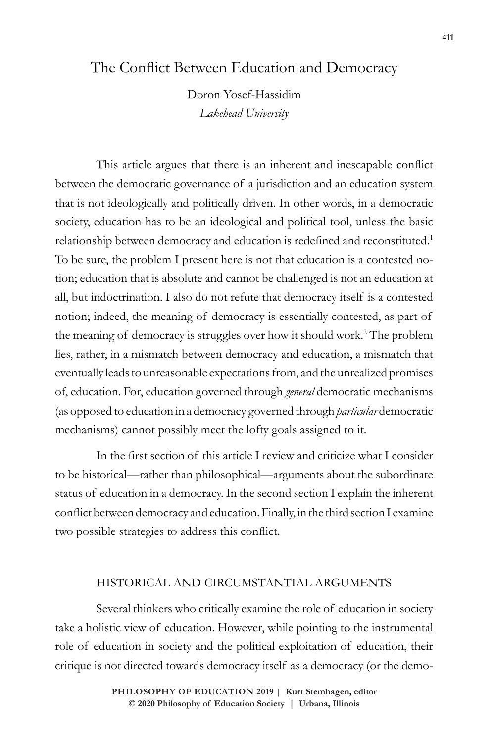# The Conflict Between Education and Democracy

Doron Yosef-Hassidim *Lakehead University*

This article argues that there is an inherent and inescapable conflict between the democratic governance of a jurisdiction and an education system that is not ideologically and politically driven. In other words, in a democratic society, education has to be an ideological and political tool, unless the basic relationship between democracy and education is redefined and reconstituted.<sup>1</sup> To be sure, the problem I present here is not that education is a contested notion; education that is absolute and cannot be challenged is not an education at all, but indoctrination. I also do not refute that democracy itself is a contested notion; indeed, the meaning of democracy is essentially contested, as part of the meaning of democracy is struggles over how it should work.<sup>2</sup> The problem lies, rather, in a mismatch between democracy and education, a mismatch that eventually leads to unreasonable expectations from, and the unrealized promises of, education. For, education governed through *general* democratic mechanisms (as opposed to education in a democracy governed through *particular* democratic mechanisms) cannot possibly meet the lofty goals assigned to it.

In the first section of this article I review and criticize what I consider to be historical—rather than philosophical—arguments about the subordinate status of education in a democracy. In the second section I explain the inherent conflict between democracy and education. Finally, in the third section I examine two possible strategies to address this conflict.

## HISTORICAL AND CIRCUMSTANTIAL ARGUMENTS

Several thinkers who critically examine the role of education in society take a holistic view of education. However, while pointing to the instrumental role of education in society and the political exploitation of education, their critique is not directed towards democracy itself as a democracy (or the demo-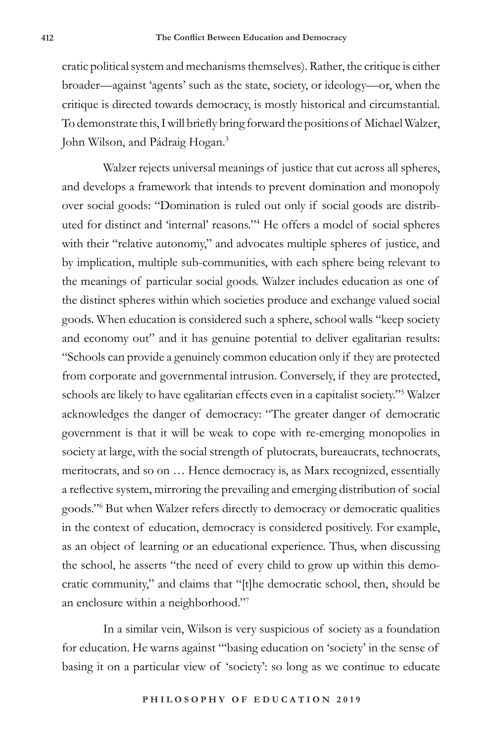cratic political system and mechanisms themselves). Rather, the critique is either broader—against 'agents' such as the state, society, or ideology—or, when the critique is directed towards democracy, is mostly historical and circumstantial. To demonstrate this, I will briefly bring forward the positions of Michael Walzer, John Wilson, and Pádraig Hogan.<sup>3</sup>

Walzer rejects universal meanings of justice that cut across all spheres, and develops a framework that intends to prevent domination and monopoly over social goods: "Domination is ruled out only if social goods are distributed for distinct and 'internal' reasons."<sup>4</sup> He offers a model of social spheres with their "relative autonomy," and advocates multiple spheres of justice, and by implication, multiple sub-communities, with each sphere being relevant to the meanings of particular social goods. Walzer includes education as one of the distinct spheres within which societies produce and exchange valued social goods. When education is considered such a sphere, school walls "keep society and economy out" and it has genuine potential to deliver egalitarian results: "Schools can provide a genuinely common education only if they are protected from corporate and governmental intrusion. Conversely, if they are protected, schools are likely to have egalitarian effects even in a capitalist society."<sup>5</sup> Walzer acknowledges the danger of democracy: "The greater danger of democratic government is that it will be weak to cope with re-emerging monopolies in society at large, with the social strength of plutocrats, bureaucrats, technocrats, meritocrats, and so on … Hence democracy is, as Marx recognized, essentially a reflective system, mirroring the prevailing and emerging distribution of social goods."<sup>6</sup> But when Walzer refers directly to democracy or democratic qualities in the context of education, democracy is considered positively. For example, as an object of learning or an educational experience. Thus, when discussing the school, he asserts "the need of every child to grow up within this democratic community," and claims that "[t]he democratic school, then, should be an enclosure within a neighborhood."<sup>7</sup>

In a similar vein, Wilson is very suspicious of society as a foundation for education. He warns against "'basing education on 'society' in the sense of basing it on a particular view of 'society': so long as we continue to educate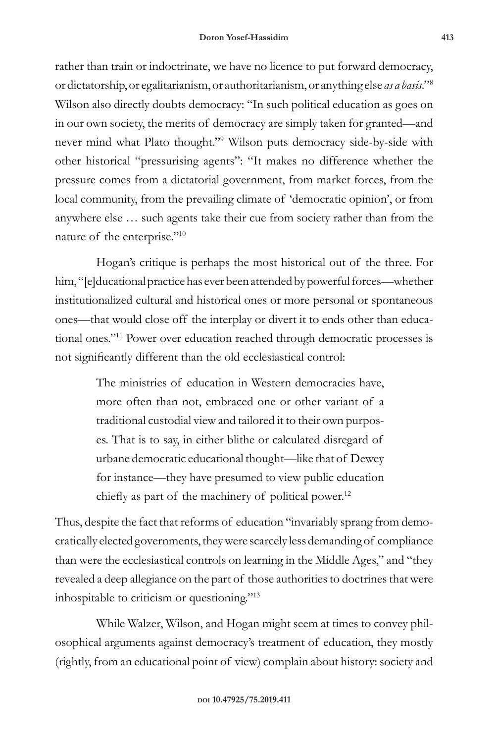rather than train or indoctrinate, we have no licence to put forward democracy, or dictatorship, or egalitarianism, or authoritarianism, or anything else *as a basis*."<sup>8</sup> Wilson also directly doubts democracy: "In such political education as goes on in our own society, the merits of democracy are simply taken for granted—and never mind what Plato thought."<sup>9</sup> Wilson puts democracy side-by-side with other historical "pressurising agents": "It makes no difference whether the pressure comes from a dictatorial government, from market forces, from the local community, from the prevailing climate of 'democratic opinion', or from anywhere else … such agents take their cue from society rather than from the nature of the enterprise."<sup>10</sup>

Hogan's critique is perhaps the most historical out of the three. For him, "[e]ducational practice has ever been attended by powerful forces—whether institutionalized cultural and historical ones or more personal or spontaneous ones—that would close off the interplay or divert it to ends other than educational ones."<sup>11</sup> Power over education reached through democratic processes is not significantly different than the old ecclesiastical control:

> The ministries of education in Western democracies have, more often than not, embraced one or other variant of a traditional custodial view and tailored it to their own purposes. That is to say, in either blithe or calculated disregard of urbane democratic educational thought—like that of Dewey for instance—they have presumed to view public education chiefly as part of the machinery of political power.<sup>12</sup>

Thus, despite the fact that reforms of education "invariably sprang from democratically elected governments, they were scarcely less demanding of compliance than were the ecclesiastical controls on learning in the Middle Ages," and "they revealed a deep allegiance on the part of those authorities to doctrines that were inhospitable to criticism or questioning."<sup>13</sup>

While Walzer, Wilson, and Hogan might seem at times to convey philosophical arguments against democracy's treatment of education, they mostly (rightly, from an educational point of view) complain about history: society and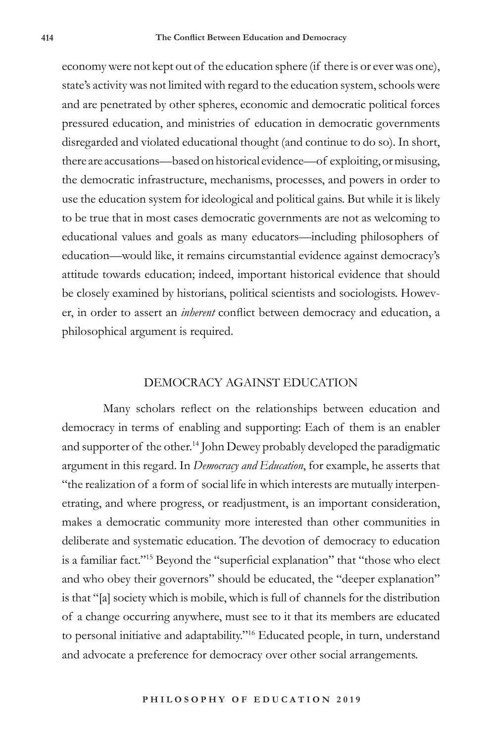economy were not kept out of the education sphere (if there is or ever was one), state's activity was not limited with regard to the education system, schools were and are penetrated by other spheres, economic and democratic political forces pressured education, and ministries of education in democratic governments disregarded and violated educational thought (and continue to do so). In short, there are accusations—based on historical evidence—of exploiting, or misusing, the democratic infrastructure, mechanisms, processes, and powers in order to use the education system for ideological and political gains. But while it is likely to be true that in most cases democratic governments are not as welcoming to educational values and goals as many educators—including philosophers of education—would like, it remains circumstantial evidence against democracy's attitude towards education; indeed, important historical evidence that should be closely examined by historians, political scientists and sociologists. However, in order to assert an *inherent* conflict between democracy and education, a philosophical argument is required.

#### DEMOCRACY AGAINST EDUCATION

Many scholars reflect on the relationships between education and democracy in terms of enabling and supporting: Each of them is an enabler and supporter of the other.<sup>14</sup> John Dewey probably developed the paradigmatic argument in this regard. In *Democracy and Education*, for example, he asserts that "the realization of a form of social life in which interests are mutually interpenetrating, and where progress, or readjustment, is an important consideration, makes a democratic community more interested than other communities in deliberate and systematic education. The devotion of democracy to education is a familiar fact."<sup>15</sup> Beyond the "superficial explanation" that "those who elect and who obey their governors" should be educated, the "deeper explanation" is that "[a] society which is mobile, which is full of channels for the distribution of a change occurring anywhere, must see to it that its members are educated to personal initiative and adaptability."<sup>16</sup> Educated people, in turn, understand and advocate a preference for democracy over other social arrangements.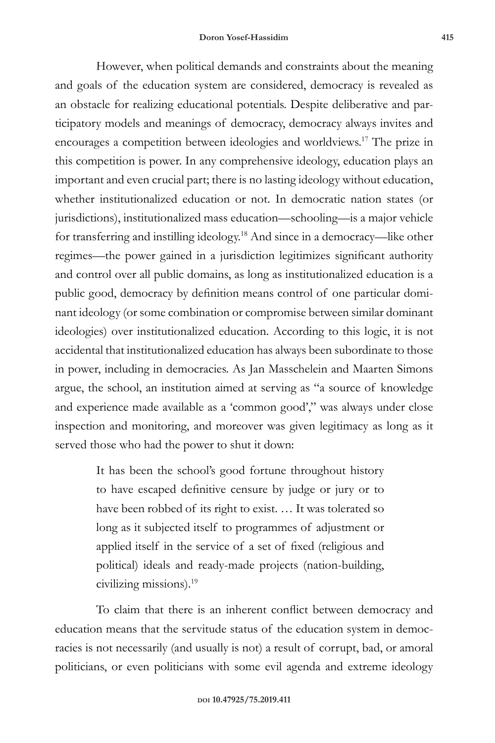However, when political demands and constraints about the meaning and goals of the education system are considered, democracy is revealed as an obstacle for realizing educational potentials. Despite deliberative and participatory models and meanings of democracy, democracy always invites and encourages a competition between ideologies and worldviews.<sup>17</sup> The prize in this competition is power. In any comprehensive ideology, education plays an important and even crucial part; there is no lasting ideology without education, whether institutionalized education or not. In democratic nation states (or jurisdictions), institutionalized mass education—schooling—is a major vehicle for transferring and instilling ideology.<sup>18</sup> And since in a democracy—like other regimes—the power gained in a jurisdiction legitimizes significant authority and control over all public domains, as long as institutionalized education is a public good, democracy by definition means control of one particular dominant ideology (or some combination or compromise between similar dominant ideologies) over institutionalized education. According to this logic, it is not accidental that institutionalized education has always been subordinate to those in power, including in democracies. As Jan Masschelein and Maarten Simons argue, the school, an institution aimed at serving as "a source of knowledge and experience made available as a 'common good'," was always under close inspection and monitoring, and moreover was given legitimacy as long as it served those who had the power to shut it down:

> It has been the school's good fortune throughout history to have escaped definitive censure by judge or jury or to have been robbed of its right to exist. … It was tolerated so long as it subjected itself to programmes of adjustment or applied itself in the service of a set of fixed (religious and political) ideals and ready-made projects (nation-building, civilizing missions).<sup>19</sup>

To claim that there is an inherent conflict between democracy and education means that the servitude status of the education system in democracies is not necessarily (and usually is not) a result of corrupt, bad, or amoral politicians, or even politicians with some evil agenda and extreme ideology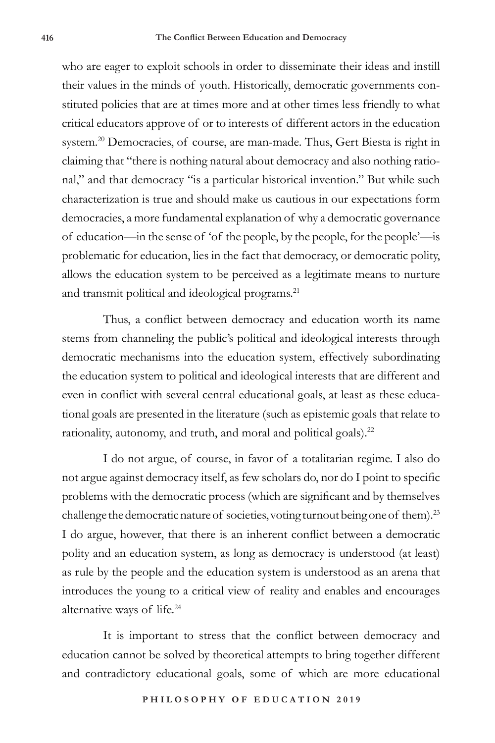who are eager to exploit schools in order to disseminate their ideas and instill their values in the minds of youth. Historically, democratic governments constituted policies that are at times more and at other times less friendly to what critical educators approve of or to interests of different actors in the education system.<sup>20</sup> Democracies, of course, are man-made. Thus, Gert Biesta is right in claiming that "there is nothing natural about democracy and also nothing rational," and that democracy "is a particular historical invention." But while such characterization is true and should make us cautious in our expectations form democracies, a more fundamental explanation of why a democratic governance of education—in the sense of 'of the people, by the people, for the people'—is problematic for education, lies in the fact that democracy, or democratic polity, allows the education system to be perceived as a legitimate means to nurture and transmit political and ideological programs.<sup>21</sup>

Thus, a conflict between democracy and education worth its name stems from channeling the public's political and ideological interests through democratic mechanisms into the education system, effectively subordinating the education system to political and ideological interests that are different and even in conflict with several central educational goals, at least as these educational goals are presented in the literature (such as epistemic goals that relate to rationality, autonomy, and truth, and moral and political goals).<sup>22</sup>

I do not argue, of course, in favor of a totalitarian regime. I also do not argue against democracy itself, as few scholars do, nor do I point to specific problems with the democratic process (which are significant and by themselves challenge the democratic nature of societies, voting turnout being one of them).<sup>23</sup> I do argue, however, that there is an inherent conflict between a democratic polity and an education system, as long as democracy is understood (at least) as rule by the people and the education system is understood as an arena that introduces the young to a critical view of reality and enables and encourages alternative ways of life.<sup>24</sup>

It is important to stress that the conflict between democracy and education cannot be solved by theoretical attempts to bring together different and contradictory educational goals, some of which are more educational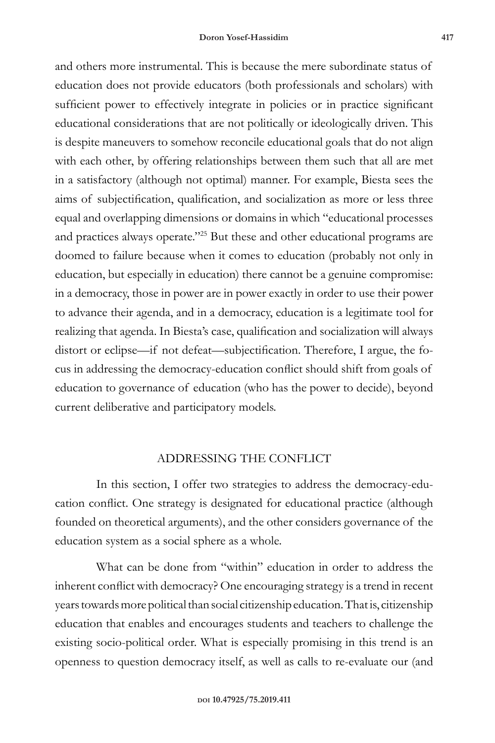and others more instrumental. This is because the mere subordinate status of education does not provide educators (both professionals and scholars) with sufficient power to effectively integrate in policies or in practice significant educational considerations that are not politically or ideologically driven. This is despite maneuvers to somehow reconcile educational goals that do not align with each other, by offering relationships between them such that all are met in a satisfactory (although not optimal) manner. For example, Biesta sees the aims of subjectification, qualification, and socialization as more or less three equal and overlapping dimensions or domains in which "educational processes and practices always operate."<sup>25</sup> But these and other educational programs are doomed to failure because when it comes to education (probably not only in education, but especially in education) there cannot be a genuine compromise: in a democracy, those in power are in power exactly in order to use their power to advance their agenda, and in a democracy, education is a legitimate tool for realizing that agenda. In Biesta's case, qualification and socialization will always distort or eclipse—if not defeat—subjectification. Therefore, I argue, the focus in addressing the democracy-education conflict should shift from goals of education to governance of education (who has the power to decide), beyond current deliberative and participatory models.

### ADDRESSING THE CONFLICT

In this section, I offer two strategies to address the democracy-education conflict. One strategy is designated for educational practice (although founded on theoretical arguments), and the other considers governance of the education system as a social sphere as a whole.

What can be done from "within" education in order to address the inherent conflict with democracy? One encouraging strategy is a trend in recent years towards more political than social citizenship education. That is, citizenship education that enables and encourages students and teachers to challenge the existing socio-political order. What is especially promising in this trend is an openness to question democracy itself, as well as calls to re-evaluate our (and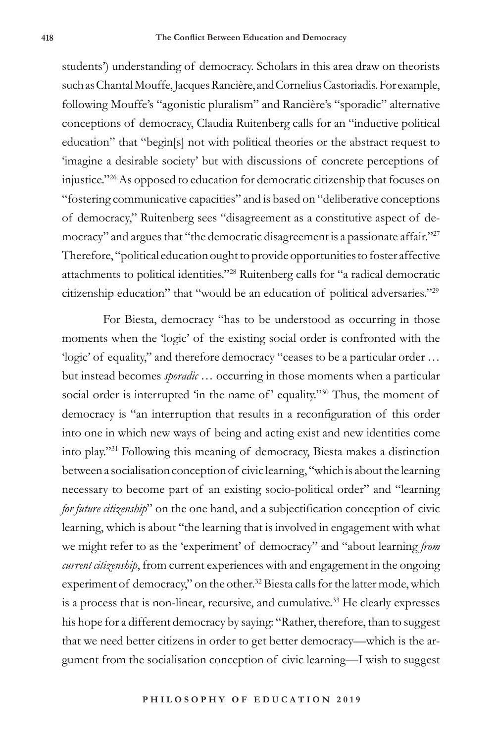students') understanding of democracy. Scholars in this area draw on theorists such as Chantal Mouffe, Jacques Rancière, and Cornelius Castoriadis. For example, following Mouffe's "agonistic pluralism" and Rancière's "sporadic" alternative conceptions of democracy, Claudia Ruitenberg calls for an "inductive political education" that "begin[s] not with political theories or the abstract request to 'imagine a desirable society' but with discussions of concrete perceptions of injustice."<sup>26</sup> As opposed to education for democratic citizenship that focuses on "fostering communicative capacities" and is based on "deliberative conceptions of democracy," Ruitenberg sees "disagreement as a constitutive aspect of democracy" and argues that "the democratic disagreement is a passionate affair."<sup>27</sup> Therefore, "political education ought to provide opportunities to foster affective attachments to political identities."<sup>28</sup> Ruitenberg calls for "a radical democratic citizenship education" that "would be an education of political adversaries."<sup>29</sup>

For Biesta, democracy "has to be understood as occurring in those moments when the 'logic' of the existing social order is confronted with the 'logic' of equality," and therefore democracy "ceases to be a particular order … but instead becomes *sporadic* … occurring in those moments when a particular social order is interrupted 'in the name of' equality."<sup>30</sup> Thus, the moment of democracy is "an interruption that results in a reconfiguration of this order into one in which new ways of being and acting exist and new identities come into play."<sup>31</sup> Following this meaning of democracy, Biesta makes a distinction between a socialisation conception of civic learning, "which is about the learning necessary to become part of an existing socio-political order" and "learning *for future citizenship*" on the one hand, and a subjectification conception of civic learning, which is about "the learning that is involved in engagement with what we might refer to as the 'experiment' of democracy" and "about learning *from current citizenship*, from current experiences with and engagement in the ongoing experiment of democracy," on the other.<sup>32</sup> Biesta calls for the latter mode, which is a process that is non-linear, recursive, and cumulative.<sup>33</sup> He clearly expresses his hope for a different democracy by saying: "Rather, therefore, than to suggest that we need better citizens in order to get better democracy—which is the argument from the socialisation conception of civic learning—I wish to suggest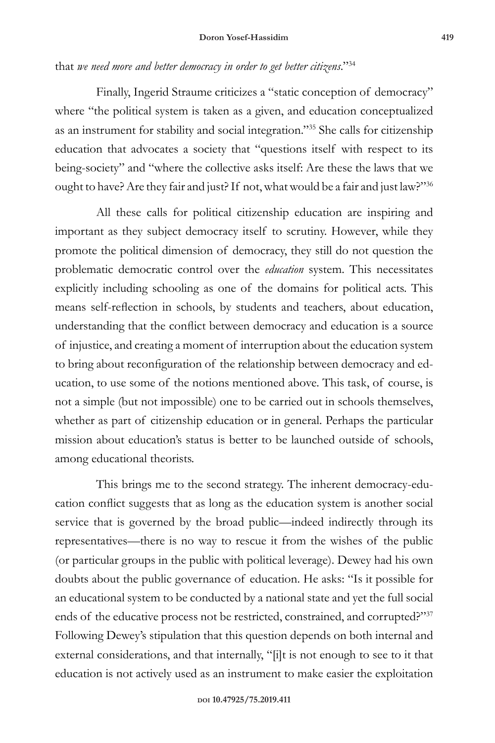## that *we need more and better democracy in order to get better citizens*."<sup>34</sup>

Finally, Ingerid Straume criticizes a "static conception of democracy" where "the political system is taken as a given, and education conceptualized as an instrument for stability and social integration."<sup>35</sup> She calls for citizenship education that advocates a society that "questions itself with respect to its being-society" and "where the collective asks itself: Are these the laws that we ought to have? Are they fair and just? If not, what would be a fair and just law?"<sup>36</sup>

All these calls for political citizenship education are inspiring and important as they subject democracy itself to scrutiny. However, while they promote the political dimension of democracy, they still do not question the problematic democratic control over the *education* system. This necessitates explicitly including schooling as one of the domains for political acts. This means self-reflection in schools, by students and teachers, about education, understanding that the conflict between democracy and education is a source of injustice, and creating a moment of interruption about the education system to bring about reconfiguration of the relationship between democracy and education, to use some of the notions mentioned above. This task, of course, is not a simple (but not impossible) one to be carried out in schools themselves, whether as part of citizenship education or in general. Perhaps the particular mission about education's status is better to be launched outside of schools, among educational theorists.

This brings me to the second strategy. The inherent democracy-education conflict suggests that as long as the education system is another social service that is governed by the broad public—indeed indirectly through its representatives—there is no way to rescue it from the wishes of the public (or particular groups in the public with political leverage). Dewey had his own doubts about the public governance of education. He asks: "Is it possible for an educational system to be conducted by a national state and yet the full social ends of the educative process not be restricted, constrained, and corrupted?"<sup>37</sup> Following Dewey's stipulation that this question depends on both internal and external considerations, and that internally, "[i]t is not enough to see to it that education is not actively used as an instrument to make easier the exploitation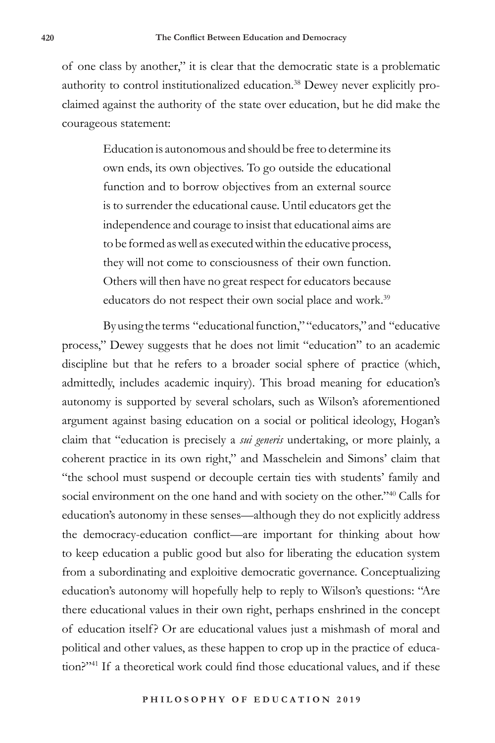of one class by another," it is clear that the democratic state is a problematic authority to control institutionalized education.<sup>38</sup> Dewey never explicitly proclaimed against the authority of the state over education, but he did make the courageous statement:

> Education is autonomous and should be free to determine its own ends, its own objectives. To go outside the educational function and to borrow objectives from an external source is to surrender the educational cause. Until educators get the independence and courage to insist that educational aims are to be formed as well as executed within the educative process, they will not come to consciousness of their own function. Others will then have no great respect for educators because educators do not respect their own social place and work.<sup>39</sup>

By using the terms "educational function," "educators," and "educative process," Dewey suggests that he does not limit "education" to an academic discipline but that he refers to a broader social sphere of practice (which, admittedly, includes academic inquiry). This broad meaning for education's autonomy is supported by several scholars, such as Wilson's aforementioned argument against basing education on a social or political ideology, Hogan's claim that "education is precisely a *sui generis* undertaking, or more plainly, a coherent practice in its own right," and Masschelein and Simons' claim that "the school must suspend or decouple certain ties with students' family and social environment on the one hand and with society on the other."<sup>40</sup> Calls for education's autonomy in these senses—although they do not explicitly address the democracy-education conflict—are important for thinking about how to keep education a public good but also for liberating the education system from a subordinating and exploitive democratic governance. Conceptualizing education's autonomy will hopefully help to reply to Wilson's questions: "Are there educational values in their own right, perhaps enshrined in the concept of education itself? Or are educational values just a mishmash of moral and political and other values, as these happen to crop up in the practice of education?"41 If a theoretical work could find those educational values, and if these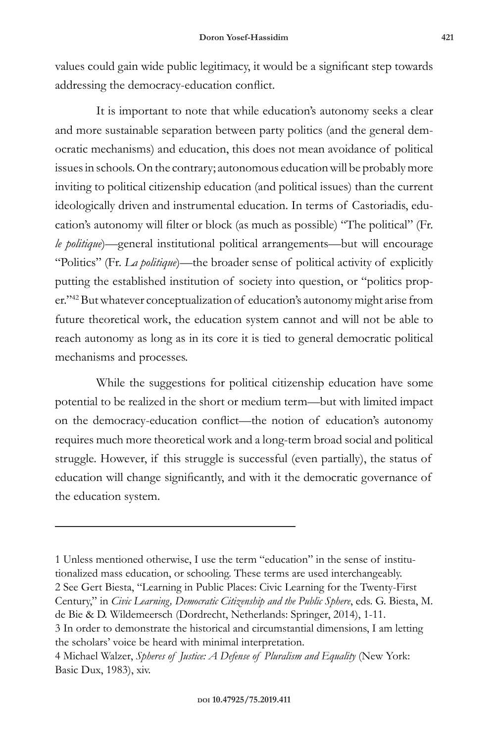values could gain wide public legitimacy, it would be a significant step towards addressing the democracy-education conflict.

It is important to note that while education's autonomy seeks a clear and more sustainable separation between party politics (and the general democratic mechanisms) and education, this does not mean avoidance of political issues in schools. On the contrary; autonomous education will be probably more inviting to political citizenship education (and political issues) than the current ideologically driven and instrumental education. In terms of Castoriadis, education's autonomy will filter or block (as much as possible) "The political" (Fr. *le politique*)—general institutional political arrangements—but will encourage "Politics" (Fr. *La politique*)—the broader sense of political activity of explicitly putting the established institution of society into question, or "politics proper."<sup>42</sup> But whatever conceptualization of education's autonomy might arise from future theoretical work, the education system cannot and will not be able to reach autonomy as long as in its core it is tied to general democratic political mechanisms and processes.

While the suggestions for political citizenship education have some potential to be realized in the short or medium term—but with limited impact on the democracy-education conflict—the notion of education's autonomy requires much more theoretical work and a long-term broad social and political struggle. However, if this struggle is successful (even partially), the status of education will change significantly, and with it the democratic governance of the education system.

1 Unless mentioned otherwise, I use the term "education" in the sense of institutionalized mass education, or schooling. These terms are used interchangeably. 2 See Gert Biesta, "Learning in Public Places: Civic Learning for the Twenty-First Century," in *Civic Learning, Democratic Citizenship and the Public Sphere*, eds. G. Biesta, M. de Bie & D. Wildemeersch (Dordrecht, Netherlands: Springer, 2014), 1-11. 3 In order to demonstrate the historical and circumstantial dimensions, I am letting the scholars' voice be heard with minimal interpretation.

<sup>4</sup> Michael Walzer, *Spheres of Justice: A Defense of Pluralism and Equality* (New York: Basic Dux, 1983), xiv.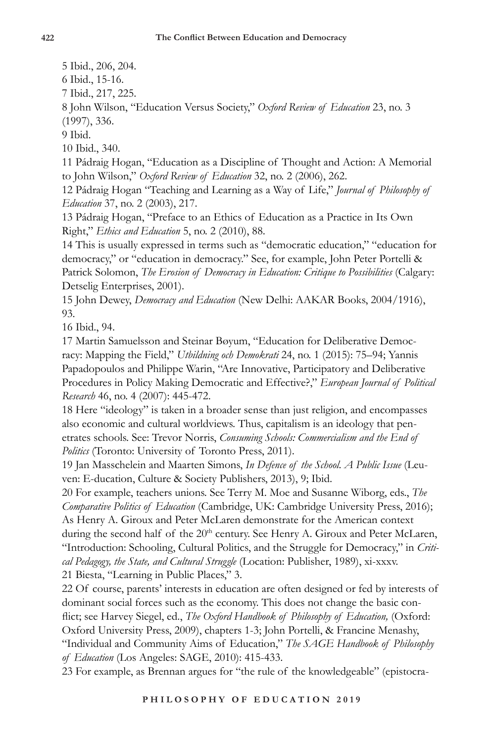5 Ibid., 206, 204.

6 Ibid., 15-16.

7 Ibid., 217, 225.

8 John Wilson, "Education Versus Society," *Oxford Review of Education* 23, no. 3 (1997), 336.

9 Ibid.

10 Ibid., 340.

11 Pádraig Hogan, "Education as a Discipline of Thought and Action: A Memorial to John Wilson," *Oxford Review of Education* 32, no. 2 (2006), 262.

12 Pádraig Hogan "Teaching and Learning as a Way of Life," *Journal of Philosophy of Education* 37, no. 2 (2003), 217.

13 Pádraig Hogan, "Preface to an Ethics of Education as a Practice in Its Own Right," *Ethics and Education* 5, no. 2 (2010), 88.

14 This is usually expressed in terms such as "democratic education," "education for democracy," or "education in democracy." See, for example, John Peter Portelli & Patrick Solomon, *The Erosion of Democracy in Education: Critique to Possibilities* (Calgary: Detselig Enterprises, 2001).

15 John Dewey, *Democracy and Education* (New Delhi: AAKAR Books, 2004/1916), 93.

16 Ibid., 94.

17 Martin Samuelsson and Steinar Bøyum, "Education for Deliberative Democracy: Mapping the Field," *Utbildning och Demokrati* 24, no. 1 (2015): 75–94; Yannis Papadopoulos and Philippe Warin, "Are Innovative, Participatory and Deliberative Procedures in Policy Making Democratic and Effective?," *European Journal of Political Research* 46, no. 4 (2007): 445-472.

18 Here "ideology" is taken in a broader sense than just religion, and encompasses also economic and cultural worldviews. Thus, capitalism is an ideology that penetrates schools. See: Trevor Norris, *Consuming Schools: Commercialism and the End of Politics* (Toronto: University of Toronto Press, 2011).

19 Jan Masschelein and Maarten Simons, *In Defence of the School. A Public Issue* (Leuven: E-ducation, Culture & Society Publishers, 2013), 9; Ibid.

20 For example, teachers unions. See Terry M. Moe and Susanne Wiborg, eds., *The Comparative Politics of Education* (Cambridge, UK: Cambridge University Press, 2016); As Henry A. Giroux and Peter McLaren demonstrate for the American context during the second half of the 20<sup>th</sup> century. See Henry A. Giroux and Peter McLaren, "Introduction: Schooling, Cultural Politics, and the Struggle for Democracy," in *Critical Pedagogy, the State, and Cultural Struggle* (Location: Publisher, 1989), xi-xxxv. 21 Biesta, "Learning in Public Places," 3.

22 Of course, parents' interests in education are often designed or fed by interests of dominant social forces such as the economy. This does not change the basic conflict; see Harvey Siegel, ed., *The Oxford Handbook of Philosophy of Education,* (Oxford: Oxford University Press, 2009), chapters 1-3; John Portelli, & Francine Menashy, "Individual and Community Aims of Education," *The SAGE Handbook of Philosophy of Education* (Los Angeles: SAGE, 2010): 415-433.

23 For example, as Brennan argues for "the rule of the knowledgeable" (epistocra-